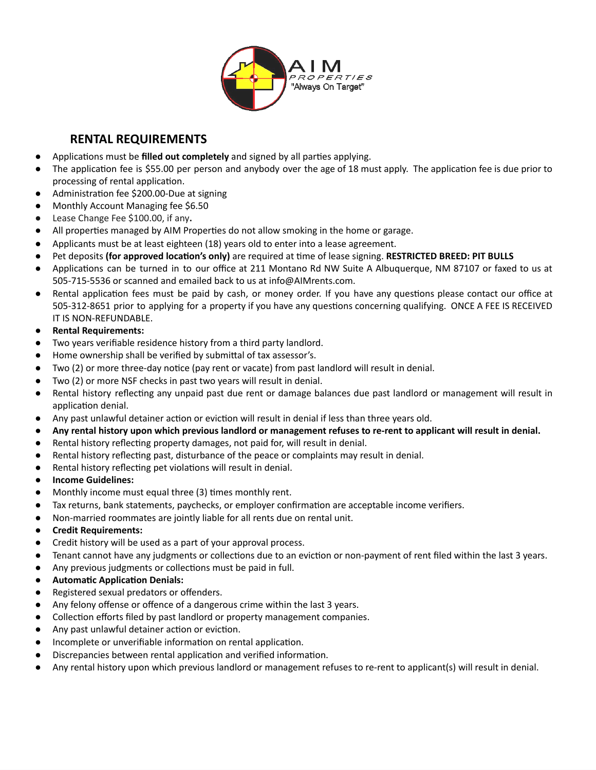

## **RENTAL REQUIREMENTS**

- **•** Applications must be **filled out completely** and signed by all parties applying.
- $\bullet$  The application fee is \$55.00 per person and anybody over the age of 18 must apply. The application fee is due prior to processing of rental application.
- Administration fee \$200.00-Due at signing
- Monthly Account Managing fee \$6.50
- Lease Change Fee \$100.00, if any.
- All properties managed by AIM Properties do not allow smoking in the home or garage.
- Applicants must be at least eighteen (18) years old to enter into a lease agreement.
- Pet deposits (for approved location's only) are required at time of lease signing. **RESTRICTED BREED: PIT BULLS**
- Applications can be turned in to our office at 211 Montano Rd NW Suite A Albuquerque, NM 87107 or faxed to us at 505-715-5536 or scanned and emailed back to us at info@AIMrents.com.
- Rental application fees must be paid by cash, or money order. If you have any questions please contact our office at 505-312-8651 prior to applying for a property if you have any questions concerning qualifying. ONCE A FEE IS RECEIVED IT IS NON-REFUNDABLE.
- **Rental Requirements:**
- Two years verifiable residence history from a third party landlord.
- Home ownership shall be verified by submittal of tax assessor's.
- Two (2) or more three-day notice (pay rent or vacate) from past landlord will result in denial.
- Two (2) or more NSF checks in past two years will result in denial.
- Rental history reflecting any unpaid past due rent or damage balances due past landlord or management will result in application denial.
- Any past unlawful detainer action or eviction will result in denial if less than three years old.
- Any rental history upon which previous landlord or management refuses to re-rent to applicant will result in denial.
- Rental history reflecting property damages, not paid for, will result in denial.
- Rental history reflecting past, disturbance of the peace or complaints may result in denial.
- Rental history reflecting pet violations will result in denial.
- **Income Guidelines:**
- Monthly income must equal three (3) times monthly rent.
- Tax returns, bank statements, paychecks, or employer confirmation are acceptable income verifiers.
- Non-married roommates are jointly liable for all rents due on rental unit.
- **Credit Requirements:**
- Credit history will be used as a part of your approval process.
- Tenant cannot have any judgments or collections due to an eviction or non-payment of rent filed within the last 3 years.
- Any previous judgments or collections must be paid in full.
- **Automatic Application Denials:**
- Registered sexual predators or offenders.
- Any felony offense or offence of a dangerous crime within the last 3 years.
- Collection efforts filed by past landlord or property management companies.
- Any past unlawful detainer action or eviction.
- Incomplete or unverifiable information on rental application.
- Discrepancies between rental application and verified information.
- Any rental history upon which previous landlord or management refuses to re-rent to applicant(s) will result in denial.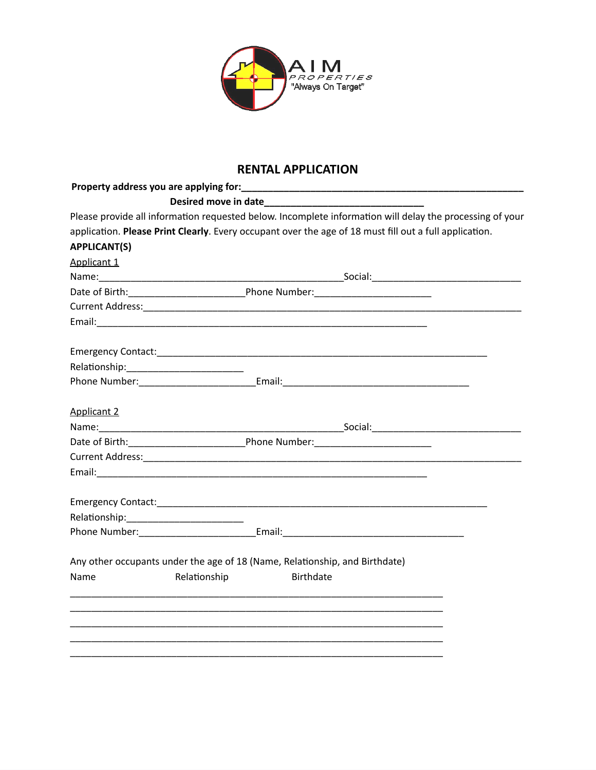

## **RENTAL APPLICATION**

| Property address you are applying for: |                                                                                                          |
|----------------------------------------|----------------------------------------------------------------------------------------------------------|
|                                        |                                                                                                          |
|                                        | Please provide all information requested below. Incomplete information will delay the processing of your |
|                                        | application. Please Print Clearly. Every occupant over the age of 18 must fill out a full application.   |
| <b>APPLICANT(S)</b>                    |                                                                                                          |
| Applicant 1                            |                                                                                                          |
|                                        |                                                                                                          |
|                                        |                                                                                                          |
|                                        |                                                                                                          |
|                                        |                                                                                                          |
|                                        |                                                                                                          |
|                                        |                                                                                                          |
|                                        |                                                                                                          |
| <b>Applicant 2</b>                     |                                                                                                          |
|                                        |                                                                                                          |
|                                        |                                                                                                          |
|                                        |                                                                                                          |
|                                        |                                                                                                          |
|                                        |                                                                                                          |
|                                        |                                                                                                          |
|                                        |                                                                                                          |
|                                        | Any other occupants under the age of 18 (Name, Relationship, and Birthdate)                              |
| Name                                   | Relationship<br><b>Birthdate</b>                                                                         |
|                                        |                                                                                                          |
|                                        |                                                                                                          |
|                                        |                                                                                                          |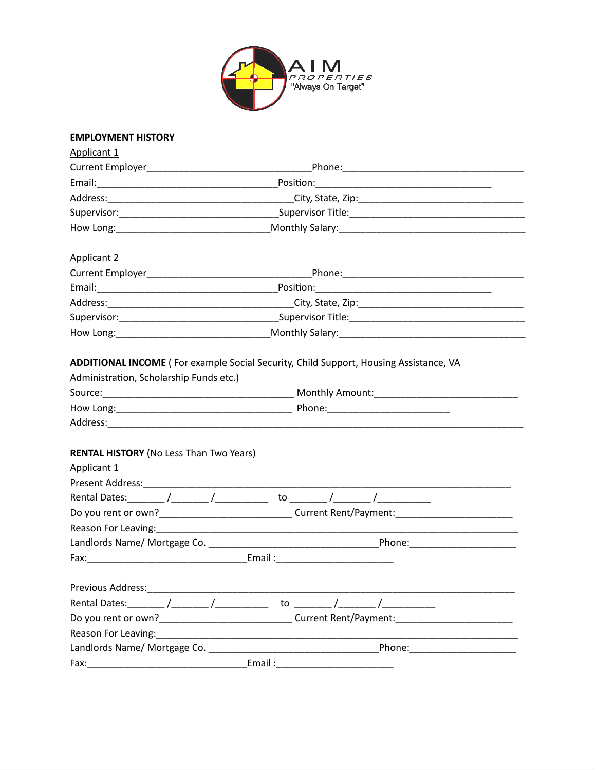

#### **EMPLOYMENT HISTORY**

| <b>Applicant 1</b>                                                                                                                                                                                                             |                                                                                                                                                                                                                                |                                                                                                                                                                                                                                |  |  |
|--------------------------------------------------------------------------------------------------------------------------------------------------------------------------------------------------------------------------------|--------------------------------------------------------------------------------------------------------------------------------------------------------------------------------------------------------------------------------|--------------------------------------------------------------------------------------------------------------------------------------------------------------------------------------------------------------------------------|--|--|
|                                                                                                                                                                                                                                |                                                                                                                                                                                                                                |                                                                                                                                                                                                                                |  |  |
|                                                                                                                                                                                                                                |                                                                                                                                                                                                                                |                                                                                                                                                                                                                                |  |  |
|                                                                                                                                                                                                                                |                                                                                                                                                                                                                                |                                                                                                                                                                                                                                |  |  |
|                                                                                                                                                                                                                                |                                                                                                                                                                                                                                |                                                                                                                                                                                                                                |  |  |
|                                                                                                                                                                                                                                | How Long: 1988 Contract Contract Contract Contract Contract Contract Contract Contract Contract Contract Contract Contract Contract Contract Contract Contract Contract Contract Contract Contract Contract Contract Contract  |                                                                                                                                                                                                                                |  |  |
| <b>Applicant 2</b>                                                                                                                                                                                                             |                                                                                                                                                                                                                                |                                                                                                                                                                                                                                |  |  |
|                                                                                                                                                                                                                                |                                                                                                                                                                                                                                |                                                                                                                                                                                                                                |  |  |
|                                                                                                                                                                                                                                |                                                                                                                                                                                                                                |                                                                                                                                                                                                                                |  |  |
|                                                                                                                                                                                                                                |                                                                                                                                                                                                                                |                                                                                                                                                                                                                                |  |  |
|                                                                                                                                                                                                                                |                                                                                                                                                                                                                                |                                                                                                                                                                                                                                |  |  |
|                                                                                                                                                                                                                                |                                                                                                                                                                                                                                |                                                                                                                                                                                                                                |  |  |
| Administration, Scholarship Funds etc.)<br><b>RENTAL HISTORY (No Less Than Two Years)</b>                                                                                                                                      |                                                                                                                                                                                                                                |                                                                                                                                                                                                                                |  |  |
| Applicant 1                                                                                                                                                                                                                    |                                                                                                                                                                                                                                |                                                                                                                                                                                                                                |  |  |
|                                                                                                                                                                                                                                |                                                                                                                                                                                                                                |                                                                                                                                                                                                                                |  |  |
|                                                                                                                                                                                                                                | Do you rent or own?_________________________________Current Rent/Payment:__________________________                                                                                                                            |                                                                                                                                                                                                                                |  |  |
|                                                                                                                                                                                                                                |                                                                                                                                                                                                                                |                                                                                                                                                                                                                                |  |  |
|                                                                                                                                                                                                                                |                                                                                                                                                                                                                                |                                                                                                                                                                                                                                |  |  |
|                                                                                                                                                                                                                                |                                                                                                                                                                                                                                |                                                                                                                                                                                                                                |  |  |
| Previous Address:                                                                                                                                                                                                              |                                                                                                                                                                                                                                |                                                                                                                                                                                                                                |  |  |
|                                                                                                                                                                                                                                | to to the state of the state of the state of the state of the state of the state of the state of the state of the state of the state of the state of the state of the state of the state of the state of the state of the stat |                                                                                                                                                                                                                                |  |  |
|                                                                                                                                                                                                                                |                                                                                                                                                                                                                                | Current Rent/Payment:                                                                                                                                                                                                          |  |  |
| Reason For Leaving: North Contract and Contract of the Contract of the Contract of the Contract of the Contract of the Contract of the Contract of the Contract of the Contract of the Contract of the Contract of the Contrac |                                                                                                                                                                                                                                |                                                                                                                                                                                                                                |  |  |
| Landlords Name/ Mortgage Co.                                                                                                                                                                                                   |                                                                                                                                                                                                                                | Phone: the contract of the contract of the contract of the contract of the contract of the contract of the contract of the contract of the contract of the contract of the contract of the contract of the contract of the con |  |  |
| Fax:                                                                                                                                                                                                                           | Email:                                                                                                                                                                                                                         |                                                                                                                                                                                                                                |  |  |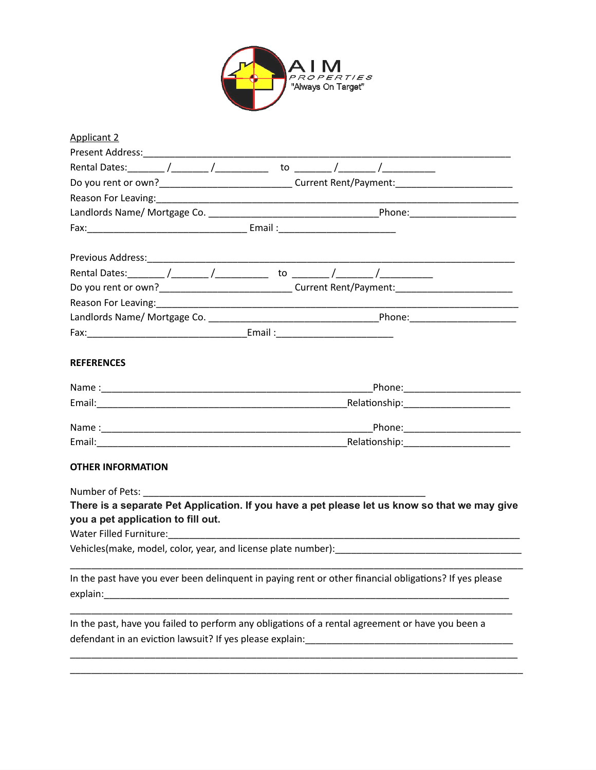

| <b>Applicant 2</b>                                                               |  |                                                                                                        |  |
|----------------------------------------------------------------------------------|--|--------------------------------------------------------------------------------------------------------|--|
|                                                                                  |  |                                                                                                        |  |
| Rental Dates: ________ /________ /______________ to ________ /________ /________ |  |                                                                                                        |  |
|                                                                                  |  | Do you rent or own?_______________________________Current Rent/Payment:____________________________    |  |
|                                                                                  |  |                                                                                                        |  |
|                                                                                  |  |                                                                                                        |  |
|                                                                                  |  |                                                                                                        |  |
|                                                                                  |  |                                                                                                        |  |
|                                                                                  |  |                                                                                                        |  |
|                                                                                  |  | Do you rent or own?_______________________________Current Rent/Payment:____________________________    |  |
|                                                                                  |  |                                                                                                        |  |
|                                                                                  |  |                                                                                                        |  |
|                                                                                  |  |                                                                                                        |  |
| <b>REFERENCES</b>                                                                |  |                                                                                                        |  |
|                                                                                  |  | _Phone:__________________________                                                                      |  |
|                                                                                  |  |                                                                                                        |  |
|                                                                                  |  |                                                                                                        |  |
|                                                                                  |  |                                                                                                        |  |
| <b>OTHER INFORMATION</b>                                                         |  |                                                                                                        |  |
|                                                                                  |  |                                                                                                        |  |
|                                                                                  |  | There is a separate Pet Application. If you have a pet please let us know so that we may give          |  |
| you a pet application to fill out.                                               |  |                                                                                                        |  |
|                                                                                  |  |                                                                                                        |  |
|                                                                                  |  |                                                                                                        |  |
|                                                                                  |  | In the past have you ever been delinquent in paying rent or other financial obligations? If yes please |  |
|                                                                                  |  | In the past, have you failed to perform any obligations of a rental agreement or have you been a       |  |

\_\_\_\_\_\_\_\_\_\_\_\_\_\_\_\_\_\_\_\_\_\_\_\_\_\_\_\_\_\_\_\_\_\_\_\_\_\_\_\_\_\_\_\_\_\_\_\_\_\_\_\_\_\_\_\_\_\_\_\_\_\_\_\_\_\_\_\_\_\_\_\_\_\_\_\_\_\_\_\_\_\_\_\_\_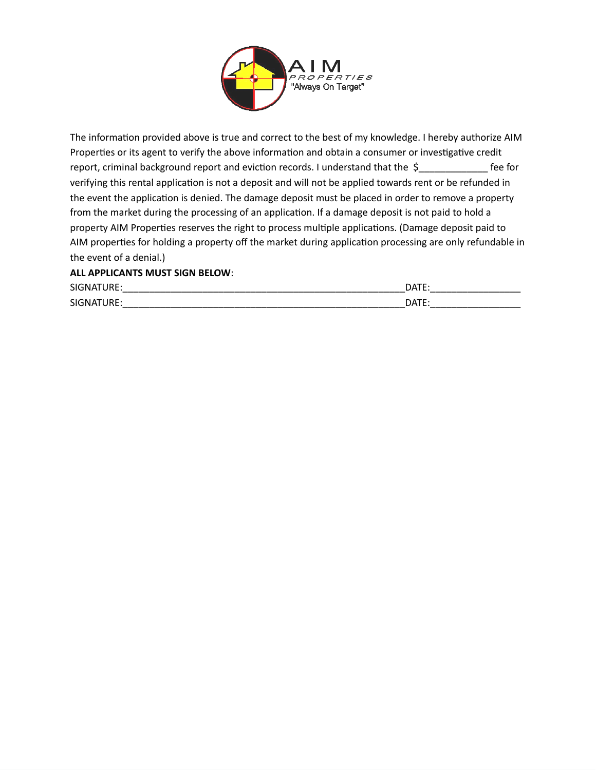

The information provided above is true and correct to the best of my knowledge. I hereby authorize AIM Properties or its agent to verify the above information and obtain a consumer or investigative credit report, criminal background report and eviction records. I understand that the \$\_\_\_\_\_\_\_\_\_\_\_\_\_\_\_ fee for verifying this rental application is not a deposit and will not be applied towards rent or be refunded in the event the application is denied. The damage deposit must be placed in order to remove a property from the market during the processing of an application. If a damage deposit is not paid to hold a property AIM Properties reserves the right to process multiple applications. (Damage deposit paid to AIM properties for holding a property off the market during application processing are only refundable in the event of a denial.)

### **ALL APPLICANTS MUST SIGN BELOW**:

| <b>SIGNA</b><br>IKE:  | <b>DATE</b> |
|-----------------------|-------------|
| <b>SIGNA</b><br>1 D L | <b>DATF</b> |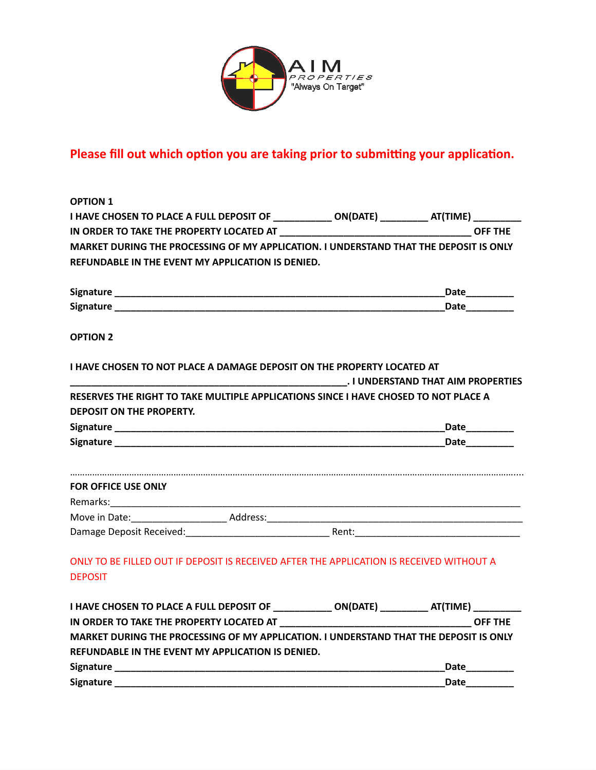

# **Please fill out which option you are taking prior to submitting your application.**

| <b>OPTION 1</b>                                                                                                                            |                 |
|--------------------------------------------------------------------------------------------------------------------------------------------|-----------------|
| I HAVE CHOSEN TO PLACE A FULL DEPOSIT OF ____________ ON(DATE) __________ AT(TIME) __________                                              |                 |
|                                                                                                                                            |                 |
| MARKET DURING THE PROCESSING OF MY APPLICATION. I UNDERSTAND THAT THE DEPOSIT IS ONLY                                                      |                 |
| REFUNDABLE IN THE EVENT MY APPLICATION IS DENIED.                                                                                          |                 |
|                                                                                                                                            | Date__________  |
|                                                                                                                                            |                 |
| <b>OPTION 2</b>                                                                                                                            |                 |
| I HAVE CHOSEN TO NOT PLACE A DAMAGE DEPOSIT ON THE PROPERTY LOCATED AT                                                                     |                 |
| RESERVES THE RIGHT TO TAKE MULTIPLE APPLICATIONS SINCE I HAVE CHOSED TO NOT PLACE A<br><b>DEPOSIT ON THE PROPERTY.</b>                     |                 |
|                                                                                                                                            | __Date_________ |
|                                                                                                                                            |                 |
| <b>FOR OFFICE USE ONLY</b>                                                                                                                 |                 |
|                                                                                                                                            |                 |
|                                                                                                                                            |                 |
|                                                                                                                                            |                 |
| ONLY TO BE FILLED OUT IF DEPOSIT IS RECEIVED AFTER THE APPLICATION IS RECEIVED WITHOUT A<br><b>DEPOSIT</b>                                 |                 |
| I HAVE CHOSEN TO PLACE A FULL DEPOSIT OF _____________ ON(DATE) __________ AT(TIME) __________                                             |                 |
|                                                                                                                                            |                 |
| MARKET DURING THE PROCESSING OF MY APPLICATION. I UNDERSTAND THAT THE DEPOSIT IS ONLY<br>REFUNDABLE IN THE EVENT MY APPLICATION IS DENIED. |                 |
|                                                                                                                                            |                 |
|                                                                                                                                            | Date_________   |